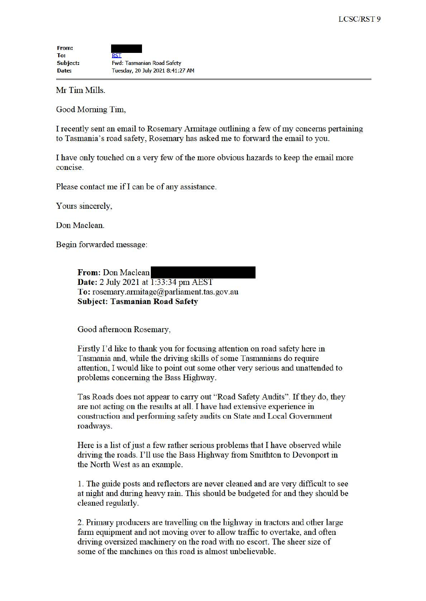|                                   | LCSC/RST 9 |
|-----------------------------------|------------|
|                                   |            |
|                                   |            |
| <b>RST</b>                        |            |
| <b>Fwd: Tasmanian Road Safety</b> |            |
| Tuesday, 20 July 2021 8:41:27 AM  |            |
|                                   |            |

Mr Tim Mills.

Good Morning Tim,

I recently sent an email to Rosemary Armitage outlining a few of my concerns pertaining to Tasmania's road safety, Rosemary has asked me to forward the email to you.

I have only touched on a very few of the more obvious hazards to keep the email more concise.

Please contact me if I can be of any assistance.

Yours sincerely,

Don Maclean.

Begin forwarded message:

**From:** Don Maclean **Date:** 2 July 2021 at 1:33:34 pm AEST To: rosemary.armitage@parliament.tas.gov.au **Subject: Tasmanian Road Safety** 

Good afternoon Rosemary,

Firstly I'd like to thank you for focusing attention on road safety here in Tasmania and, while the driving skills of some Tasmanians do require attention, I would like to point out some other very serious and unattended to problems concerning the Bass Highway.

Tas Roads does not appear to carry out "Road Safety Audits". If they do, they are not acting on the results at all. I have had extensive experience in construction and performing safety audits on State and Local Government roadways.

Here is a list of just a few rather serious problems that I have observed while driving the roads. I'll use the Bass Highway from Smithton to Devonport in the North West as an example.

1. The guide posts and reflectors are never cleaned and are very difficult to see at night and during heavy rain. This should be budgeted for and they should be cleaned regularly.

2. Primary producers are travelling on the highway in tractors and other large farm equipment and not moving over to allow traffic to overtake, and often driving oversized machinery on the road with no escort. The sheer size of some of the machines on this road is almost unbelievable.